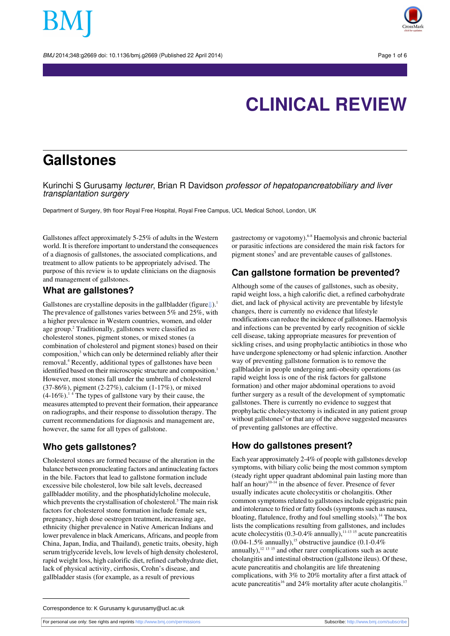BMJ 2014:348:g2669 doi: 10.1136/bmi.g2669 (Published 22 April 2014) Page 1 of 6



# **CLINICAL REVIEW**

## **Gallstones**

## Kurinchi S Gurusamy lecturer, Brian R Davidson professor of hepatopancreatobiliary and liver transplantation surgery

Department of Surgery, 9th floor Royal Free Hospital, Royal Free Campus, UCL Medical School, London, UK

Gallstones affect approximately 5-25% of adults in the Western world. It is therefore important to understand the consequences of a diagnosis of gallstones, the associated complications, and treatment to allow patients to be appropriately advised. The purpose of this review is to update clinicians on the diagnosis and management of gallstones.

## **What are gallstones?**

Gallstones are crystalline deposits in the gallbladder (figure $\downarrow$ ).<sup>1</sup> The prevalence of gallstones varies between 5% and 25%, with a higher prevalence in Western countries, women, and older age group.<sup>2</sup> Traditionally, gallstones were classified as cholesterol stones, pigment stones, or mixed stones (a combination of cholesterol and pigment stones) based on their composition,<sup>3</sup> which can only be determined reliably after their removal.<sup>4</sup> Recently, additional types of gallstones have been identified based on their microscopic structure and composition.<sup>1</sup> However, most stones fall under the umbrella of cholesterol (37-86%), pigment (2-27%), calcium (1-17%), or mixed  $(4\n-16\%)$ <sup>14</sup>. The types of gallstone vary by their cause, the measures attempted to prevent their formation, their appearance on radiographs, and their response to dissolution therapy. The current recommendations for diagnosis and management are, however, the same for all types of gallstone.

## **Who gets gallstones?**

Cholesterol stones are formed because of the alteration in the balance between pronucleating factors and antinucleating factors in the bile. Factors that lead to gallstone formation include excessive bile cholesterol, low bile salt levels, decreased gallbladder motility, and the phosphatidylcholine molecule, which prevents the crystallisation of cholesterol.<sup>5</sup> The main risk factors for cholesterol stone formation include female sex, pregnancy, high dose oestrogen treatment, increasing age, ethnicity (higher prevalence in Native American Indians and lower prevalence in black Americans, Africans, and people from China, Japan, India, and Thailand), genetic traits, obesity, high serum triglyceride levels, low levels of high density cholesterol, rapid weight loss, high calorific diet, refined carbohydrate diet, lack of physical activity, cirrhosis, Crohn's disease, and gallbladder stasis (for example, as a result of previous

gastrectomy or vagotomy).6-8 Haemolysis and chronic bacterial or parasitic infections are considered the main risk factors for pigment stones<sup>5</sup> and are preventable causes of gallstones.

## **Can gallstone formation be prevented?**

Although some of the causes of gallstones, such as obesity, rapid weight loss, a high calorific diet, a refined carbohydrate diet, and lack of physical activity are preventable by lifestyle changes, there is currently no evidence that lifestyle modifications can reduce the incidence of gallstones. Haemolysis and infections can be prevented by early recognition of sickle cell disease, taking appropriate measures for prevention of sickling crises, and using prophylactic antibiotics in those who have undergone splenectomy or had splenic infarction. Another way of preventing gallstone formation is to remove the gallbladder in people undergoing anti-obesity operations (as rapid weight loss is one of the risk factors for gallstone formation) and other major abdominal operations to avoid further surgery as a result of the development of symptomatic gallstones. There is currently no evidence to suggest that prophylactic cholecystectomy is indicated in any patient group without gallstones<sup>9</sup> or that any of the above suggested measures of preventing gallstones are effective.

## **How do gallstones present?**

Each year approximately 2-4% of people with gallstones develop symptoms, with biliary colic being the most common symptom (steady right upper quadrant abdominal pain lasting more than half an hour) $10-14$  in the absence of fever. Presence of fever usually indicates acute cholecystitis or cholangitis. Other common symptoms related to gallstones include epigastric pain and intolerance to fried or fatty foods (symptoms such as nausea, bloating, flatulence, frothy and foul smelling stools).<sup>14</sup> The box lists the complications resulting from gallstones, and includes acute cholecystitis (0.3-0.4% annually), $^{11-13}$  15 acute pancreatitis  $(0.04-1.5\%$  annually),<sup>15</sup> obstructive jaundice  $(0.1-0.4\%$ annually), $12 \times 13 \times 15$  and other rarer complications such as acute cholangitis and intestinal obstruction (gallstone ileus). Of these, acute pancreatitis and cholangitis are life threatening complications, with 3% to 20% mortality after a first attack of acute pancreatitis<sup>16</sup> and 24% mortality after acute cholangitis.<sup>17</sup>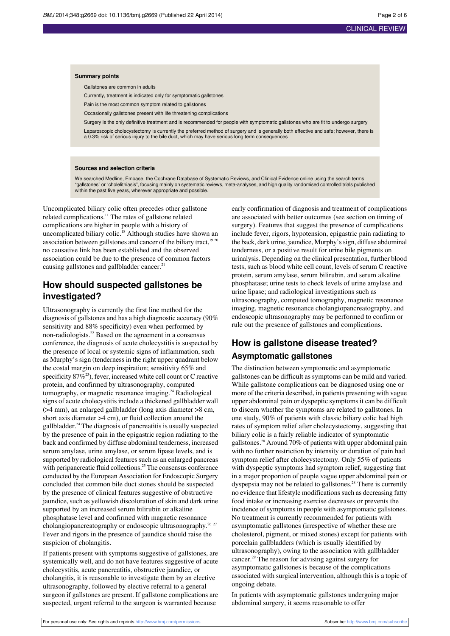#### **Summary points**

Gallstones are common in adults

- Currently, treatment is indicated only for symptomatic gallstones
- Pain is the most common symptom related to gallstones
- Occasionally gallstones present with life threatening complications
- Surgery is the only definitive treatment and is recommended for people with symptomatic gallstones who are fit to undergo surgery

Laparoscopic cholecystectomy is currently the preferred method of surgery and is generally both effective and safe; however, there is a 0.3% risk of serious injury to the bile duct, which may have serious long term consequences

#### **Sources and selection criteria**

We searched Medline, Embase, the Cochrane Database of Systematic Reviews, and Clinical Evidence online using the search terms "gallstones" or "cholelithiasis", focusing mainly on systematic reviews, meta-analyses, and high quality randomised controlled trials published within the past five years, wherever appropriate and possible.

Uncomplicated biliary colic often precedes other gallstone related complications.<sup>11</sup> The rates of gallstone related complications are higher in people with a history of uncomplicated biliary colic.<sup>18</sup> Although studies have shown an association between gallstones and cancer of the biliary tract, $19$ no causative link has been established and the observed association could be due to the presence of common factors causing gallstones and gallbladder cancer.<sup>21</sup>

## **How should suspected gallstones be investigated?**

Ultrasonography is currently the first line method for the diagnosis of gallstones and has a high diagnostic accuracy (90% sensitivity and 88% specificity) even when performed by non-radiologists.<sup>22</sup> Based on the agreement in a consensus conference, the diagnosis of acute cholecystitis is suspected by the presence of local or systemic signs of inflammation, such as Murphy's sign (tenderness in the right upper quadrant below the costal margin on deep inspiration; sensitivity 65% and specificity  $87\%^{23}$ , fever, increased white cell count or C reactive protein, and confirmed by ultrasonography, computed tomography, or magnetic resonance imaging.<sup>24</sup> Radiological signs of acute cholecystitis include a thickened gallbladder wall (>4 mm), an enlarged gallbladder (long axis diameter >8 cm, short axis diameter >4 cm), or fluid collection around the  $g$ allbladder.<sup>24</sup> The diagnosis of pancreatitis is usually suspected by the presence of pain in the epigastric region radiating to the back and confirmed by diffuse abdominal tenderness, increased serum amylase, urine amylase, or serum lipase levels, and is supported by radiological features such as an enlarged pancreas with peripancreatic fluid collections.<sup>25</sup> The consensus conference conducted by the European Association for Endoscopic Surgery concluded that common bile duct stones should be suspected by the presence of clinical features suggestive of obstructive jaundice, such as yellowish discoloration of skin and dark urine supported by an increased serum bilirubin or alkaline phosphatase level and confirmed with magnetic resonance cholangiopancreatography or endoscopic ultrasonography.<sup>26 27</sup> Fever and rigors in the presence of jaundice should raise the suspicion of cholangitis.

If patients present with symptoms suggestive of gallstones, are systemically well, and do not have features suggestive of acute cholecystitis, acute pancreatitis, obstructive jaundice, or cholangitis, it is reasonable to investigate them by an elective ultrasonography, followed by elective referral to a general surgeon if gallstones are present. If gallstone complications are suspected, urgent referral to the surgeon is warranted because

early confirmation of diagnosis and treatment of complications are associated with better outcomes (see section on timing of surgery). Features that suggest the presence of complications include fever, rigors, hypotension, epigastric pain radiating to the back, dark urine, jaundice, Murphy's sign, diffuse abdominal tenderness, or a positive result for urine bile pigments on urinalysis. Depending on the clinical presentation, further blood tests, such as blood white cell count, levels of serum C reactive protein, serum amylase, serum bilirubin, and serum alkaline phosphatase; urine tests to check levels of urine amylase and urine lipase; and radiological investigations such as ultrasonography, computed tomography, magnetic resonance imaging, magnetic resonance cholangiopancreatography, and endoscopic ultrasonography may be performed to confirm or rule out the presence of gallstones and complications.

## **How is gallstone disease treated? Asymptomatic gallstones**

The distinction between symptomatic and asymptomatic gallstones can be difficult as symptoms can be mild and varied. While gallstone complications can be diagnosed using one or more of the criteria described, in patients presenting with vague upper abdominal pain or dyspeptic symptoms it can be difficult to discern whether the symptoms are related to gallstones. In one study, 90% of patients with classic biliary colic had high rates of symptom relief after cholecystectomy, suggesting that biliary colic is a fairly reliable indicator of symptomatic gallstones.<sup>28</sup> Around 70% of patients with upper abdominal pain with no further restriction by intensity or duration of pain had symptom relief after cholecystectomy. Only 55% of patients with dyspeptic symptoms had symptom relief, suggesting that in a major proportion of people vague upper abdominal pain or dyspepsia may not be related to gallstones.<sup>28</sup> There is currently no evidence that lifestyle modifications such as decreasing fatty food intake or increasing exercise decreases or prevents the incidence of symptoms in people with asymptomatic gallstones. No treatment is currently recommended for patients with asymptomatic gallstones (irrespective of whether these are cholesterol, pigment, or mixed stones) except for patients with porcelain gallbladders (which is usually identified by ultrasonography), owing to the association with gallbladder cancer.<sup>29</sup> The reason for advising against surgery for asymptomatic gallstones is because of the complications associated with surgical intervention, although this is a topic of ongoing debate.

In patients with asymptomatic gallstones undergoing major abdominal surgery, it seems reasonable to offer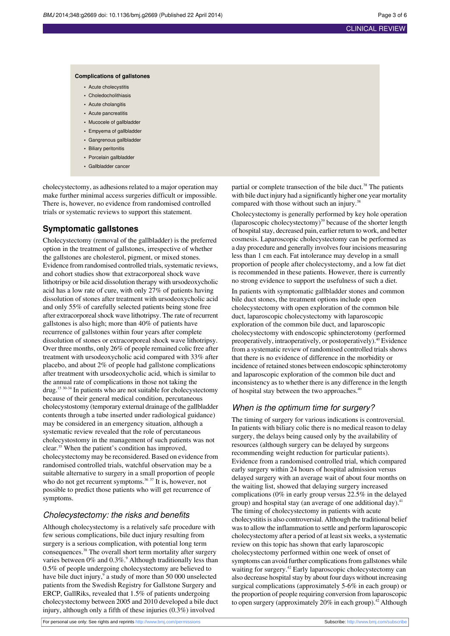#### **Complications of gallstones**

- **•** Acute cholecystitis
- **•** Choledocholithiasis
- **•** Acute cholangitis
- **•** Acute pancreatitis
- **•** Mucocele of gallbladder
- **•** Empyema of gallbladder
- **•** Gangrenous gallbladder
- **•** Biliary peritonitis
- **•** Porcelain gallbladder
- **•** Gallbladder cancer

cholecystectomy, as adhesions related to a major operation may make further minimal access surgeries difficult or impossible. There is, however, no evidence from randomised controlled trials or systematic reviews to support this statement.

## **Symptomatic gallstones**

Cholecystectomy (removal of the gallbladder) is the preferred option in the treatment of gallstones, irrespective of whether the gallstones are cholesterol, pigment, or mixed stones. Evidence from randomised controlled trials, systematic reviews, and cohort studies show that extracorporeal shock wave lithotripsy or bile acid dissolution therapy with ursodeoxycholic acid has a low rate of cure, with only 27% of patients having dissolution of stones after treatment with ursodeoxycholic acid and only 55% of carefully selected patients being stone free after extracorporeal shock wave lithotripsy. The rate of recurrent gallstones is also high; more than 40% of patients have recurrence of gallstones within four years after complete dissolution of stones or extracorporeal shock wave lithotripsy. Over three months, only 26% of people remained colic free after treatment with ursodeoxycholic acid compared with 33% after placebo, and about 2% of people had gallstone complications after treatment with ursodeoxycholic acid, which is similar to the annual rate of complications in those not taking the drug.<sup>15</sup> 30-34 In patients who are not suitable for cholecystectomy because of their general medical condition, percutaneous cholecystostomy (temporary external drainage of the gallbladder contents through a tube inserted under radiological guidance) may be considered in an emergency situation, although a systematic review revealed that the role of percutaneous cholecystostomy in the management of such patients was not clear.<sup>35</sup> When the patient's condition has improved, cholecystectomy may be reconsidered. Based on evidence from randomised controlled trials, watchful observation may be a suitable alternative to surgery in a small proportion of people who do not get recurrent symptoms.<sup>36 37</sup> It is, however, not possible to predict those patients who will get recurrence of symptoms.

## Cholecystectomy: the risks and benefits

Although cholecystectomy is a relatively safe procedure with few serious complications, bile duct injury resulting from surgery is a serious complication, with potential long term consequences.<sup>38</sup> The overall short term mortality after surgery varies between 0% and 0.3%.<sup>9</sup> Although traditionally less than 0.5% of people undergoing cholecystectomy are believed to have bile duct injury,<sup>9</sup> a study of more than 50 000 unselected patients from the Swedish Registry for Gallstone Surgery and ERCP, GallRiks, revealed that 1.5% of patients undergoing cholecystectomy between 2005 and 2010 developed a bile duct injury, although only a fifth of these injuries (0.3%) involved

partial or complete transection of the bile duct.<sup>38</sup> The patients with bile duct injury had a significantly higher one year mortality compared with those without such an injury.<sup>38</sup>

Cholecystectomy is generally performed by key hole operation (laparoscopic cholecystectomy)<sup>39</sup> because of the shorter length of hospital stay, decreased pain, earlier return to work, and better cosmesis. Laparoscopic cholecystectomy can be performed as a day procedure and generally involves four incisions measuring less than 1 cm each. Fat intolerance may develop in a small proportion of people after cholecystectomy, and a low fat diet is recommended in these patients. However, there is currently no strong evidence to support the usefulness of such a diet. In patients with symptomatic gallbladder stones and common bile duct stones, the treatment options include open cholecystectomy with open exploration of the common bile duct, laparoscopic cholecystectomy with laparoscopic exploration of the common bile duct, and laparoscopic cholecystectomy with endoscopic sphincterotomy (performed preoperatively, intraoperatively, or postoperatively).<sup>40</sup> Evidence from a systematic review of randomised controlled trials shows that there is no evidence of difference in the morbidity or incidence of retained stones between endoscopic sphincterotomy and laparoscopic exploration of the common bile duct and inconsistency as to whether there is any difference in the length of hospital stay between the two approaches.<sup>40</sup>

#### When is the optimum time for surgery?

The timing of surgery for various indications is controversial. In patients with biliary colic there is no medical reason to delay surgery, the delays being caused only by the availability of resources (although surgery can be delayed by surgeons recommending weight reduction for particular patients). Evidence from a randomised controlled trial, which compared early surgery within 24 hours of hospital admission versus delayed surgery with an average wait of about four months on the waiting list, showed that delaying surgery increased complications (0% in early group versus 22.5% in the delayed group) and hospital stay (an average of one additional day).<sup>41</sup> The timing of cholecystectomy in patients with acute cholecystitis is also controversial. Although the traditional belief wasto allow the inflammation to settle and perform laparoscopic cholecystectomy after a period of at least six weeks, a systematic review on this topic has shown that early laparoscopic cholecystectomy performed within one week of onset of symptoms can avoid further complications from gallstones while waiting for surgery.<sup>42</sup> Early laparoscopic cholecystectomy can also decrease hospital stay by about four days without increasing surgical complications (approximately 5-6% in each group) or the proportion of people requiring conversion from laparoscopic to open surgery (approximately  $20\%$  in each group).<sup>42</sup> Although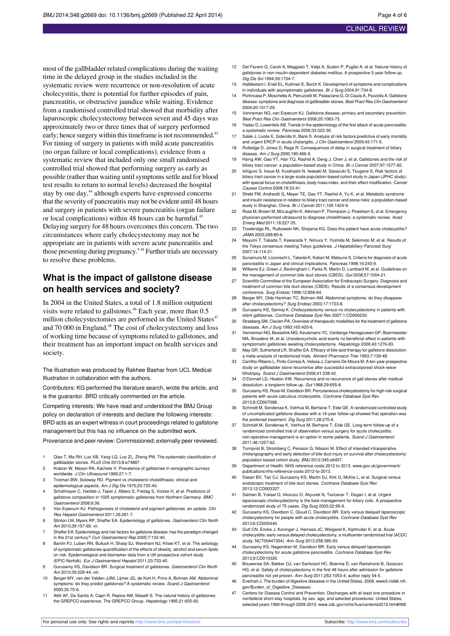most of the gallbladder related complications during the waiting time in the delayed group in the studies included in the systematic review were recurrence or non-resolution of acute cholecystitis, there is potential for further episodes of pain, pancreatitis, or obstructive jaundice while waiting. Evidence from a randomised controlled trial showed that morbidity after laparoscopic cholecystectomy between seven and 45 days was approximately two or three times that of surgery performed early; hence surgery within this timeframe is not recommended.<sup>43</sup> For timing of surgery in patients with mild acute pancreatitis (no organ failure or local complications), evidence from a systematic review that included only one small randomised controlled trial showed that performing surgery as early as possible (rather than waiting until symptoms settle and for blood test results to return to normal levels) decreased the hospital stay by one day,<sup>44</sup> although experts have expressed concerns that the severity of pancreatitis may not be evident until 48 hours and surgery in patients with severe pancreatitis (organ failure or local complications) within 48 hours can be harmful.<sup>45</sup> Delaying surgery for 48 hours overcomesthis concern. The two circumstances where early cholecystectomy may not be appropriate are in patients with severe acute pancreatitis and those presenting during pregnancy.<sup>944</sup> Further trials are necessary to resolve these problems.

## **What is the impact of gallstone disease on health services and society?**

In 2004 in the United States, a total of 1.8 million outpatient visits were related to gallstones.<sup>46</sup> Each year, more than 0.5 million cholecystectomies are performed in the United States<sup>47</sup> and 70 000 in England.<sup>48</sup> The cost of cholecystectomy and loss of working time because of symptoms related to gallstones, and their treatment has an important impact on health services and society.

The illustration was produced by Rakhee Bashar from UCL Medical Illustration in collaboration with the authors.

Contributors: KG performed the literature search, wrote the article, and is the guarantor. BRD critically commented on the article.

Competing interests: We have read and understood the BMJ Group policy on declaration of interests and declare the following interests: BRD acts as an expert witness in court proceedings related to gallstone management but this has no influence on the submitted work.

Provenance and peer review: Commissioned; externally peer reviewed.

- 1 Qiao T, Ma RH, Luo XB, Yang LQ, Luo ZL, Zheng PM. The systematic classification of gallbladder stones. PLoS One 2013;8:e74887.
- 2 Kratzer W, Mason RA, Kachele V. Prevalence of gallstones in sonographic surveys worldwide. J Clin Ultrasound 1999;27:1-7.
- 3 Trotman BW, Soloway RD. Pigment vs cholesterol cholelithiasis: clinical and epidemiological aspects. Am J Dig Dis 1975;20:735-40.
- 4 Schafmayer C, Hartleb J, Tepel J, Albers S, Freitag S, Volzke H, et al. Predictors of gallstone composition in 1025 symptomatic gallstones from Northern Germany. BMC Gastroenterol 2006;6:36.
- Van Erpecum KJ. Pathogenesis of cholesterol and pigment gallstones: an update. Clin Res Hepatol Gastroenterol 2011;35:281-7.
- 6 Stinton LM, Myers RP, Shaffer EA. Epidemiology of gallstones. Gastroenterol Clin North Am 2010;39:157-69, vii.
- Shaffer EA. Epidemiology and risk factors for gallstone disease: has the paradigm changed in the 21st century? Curr Gastroenterol Rep 2005;7:132-40.
- 8 Banim PJ, Luben RN, Bulluck H, Sharp SJ, Wareham NJ, Khaw KT, et al. The aetiology of symptomatic gallstones quantification of the effects of obesity, alcohol and serum lipids on risk. Epidemiological and biomarker data from a UK prospective cohort study (EPIC-Norfolk). Eur J Gastroenterol Hepatol 2011;23:733-40.
- 9 Gurusamy KS, Davidson BR. Surgical treatment of gallstones. Gastroenterol Clin North Am 2010;39:229-44, viii.
- 10 Berger MY, van der Velden JJIM, Lijmer JG, de Kort H, Prins A, Bohnen AM. Abdominal symptoms: do they predict gallstones? A systematic review. Scand J Gastroenterol 2000;35:70-6.
- 11 Attili AF, De Santis A, Capri R, Repice AM, Maselli S. The natural history of gallstones: the GREPCO experience. The GREPCO Group. Hepatology 1995;21:655-60.
- 12 Del Favero G, Caroli A, Meggiato T, Volpi A, Scalon P, Puglisi A, et al. Natural history of gallstones in non-insulin-dependent diabetes mellitus. A prospective 5-year follow-up. Dig Dis Sci 1994;39:1704-7.
- 13 Halldestam I, Enell EL, Kullman E, Borch K. Development of symptoms and complications
- in individuals with asymptomatic gallstones. Br J Surg 2004;91:734-8. 14 Portincasa P, Moschetta A, Petruzzelli M, Palasciano G, Di Ciaula A, Pezzolla A. Gallstone disease: symptoms and diagnosis of gallbladder stones. Best Pract Res Clin Gastroenterol 2006;20:1017-29..
- 15 Venneman NG, van Erpecum KJ. Gallstone disease: primary and secondary prevention. Best Pract Res Clin Gastroenterol 2006;20:1063-73.
- 16 Yadav D, Lowenfels AB. Trends in the epidemiology of the first attack of acute pancreatitis: a systematic review. Pancreas 2006;33:323-30.
- 17 Salek J, Livote E, Sideridis K, Bank S. Analysis of risk factors predictive of early mortality and urgent ERCP in acute cholangitis. J Clin Gastroenterol 2009;43:171-5.
- 18 Rutledge D, Jones D, Rege R. Consequences of delay in surgical treatment of biliary disease. Am J Surg 2000;180:466-9.<br>19 Hsing AW, Gao YT, Han TQ, Rashid A, Deng J, Chen J, et al. Gallstones and the risk of
- biliary tract cancer: a population-based study in China. Br J Cancer 2007;97:1577-82.
- 20 Ishiguro S, Inoue M, Kurahashi N, Iwasaki M, Sasazuki S, Tsugane S. Risk factors of biliary tract cancer in a large-scale population-based cohort study in Japan (JPHC study); with special focus on cholelithiasis, body mass index, and their effect modification. Cance Causes Control 2008;19:33-41.
- 21 Shebl FM, Andreotti G, Meyer TE, Gao YT, Rashid A, Yu K, et al. Metabolic syndrome and insulin resistance in relation to biliary tract cancer and stone risks: a population-based study in Shanghai, China. Br J Cancer 2011;105:1424-9.
- 22 Ross M, Brown M, McLaughlin K, Atkinson P, Thompson J, Powelson S, et al. Emergency physician-performed ultrasound to diagnose cholelithiasis: a systematic review. Acad Emerg Med 2011;18:227-35.
- 23 Trowbridge RL, Rutkowski NK, Shojania KG. Does this patient have acute cholecystitis? JAMA 2003;289:80-6.
- 24 Mayumi T, Takada T, Kawarada Y, Nimura Y, Yoshida M, Sekimoto M, et al. Results of the Tokyo consensus meeting Tokyo guidelines. J Hepatobiliary Pancreat Surg 2007;14:114-21.
- 25 Sunamura M, Lozonschi L, Takeda K, Kobari M, Matsuno S. Criteria for diagnosis of acute pancreatitis in Japan and clinical implications. Pancreas 1998;16:243-9.
- 26 Williams EJ, Green J, Beckingham I, Parks R, Martin D, Lombard M, et al. Guidelines on the management of common bile duct stones (CBDS). Gut 2008;57:1004-21.
- 27 Scientific Committee of the European Association for Endoscopic Surgery. Diagnosis and treatment of common bile duct stones (CBDS). Results of a consensus development conference. Surg Endosc 1998;12:856-64.
- 28 Berger MY, Olde Hartman TC, Bohnen AM. Abdominal symptoms: do they disappear after cholecystectomy? Surg Endosc 2003;17:1723-8.
- 29 Gurusamy KS, Samraj K. Cholecystectomy versus no cholecystectomy in patients with silent gallstones. Cochrane Database Syst Rev 2007;1:CD006230.
- 30 Strasberg SM, Clavien PA. Overview of therapeutic modalities for the treatment of gallstone diseases. Am J Surg 1993;165:420-6.
- 31 Venneman NG, Besselink MG, Keulemans YC, Vanberge-Henegouwen GP, Boermeester MA, Broeders IA, et al. Ursodeoxycholic acid exerts no beneficial effect in patients with symptomatic gallstones awaiting cholecystectomy. Hepatology 2006;43:1276-83.
- 32 May GR, Sutherland LR, Shaffer EA. Efficacy of bile acid therapy for gallstone dissolution: a meta-analysis of randomized trials. Aliment Pharmacol Ther 1993;7:139-48.
- 33 Carrilho-Ribeiro L, Pinto-Correia A, Velosa J, Carneiro De Moura M. A ten-year prospective study on gallbladder stone recurrence after successful extracorporeal shock-wave lithotripsy. Scand J Gastroenterol 2006;41:338-42.
- 34 O'Donnell LD, Heaton KW. Recurrence and re-recurrence of gall stones after medical dissolution: a longterm follow up. Gut 1988;29:655-8.
- 35 Gurusamy KS, Rossi M, Davidson BR. Percutaneous cholecystostomy for high-risk surgical patients with acute calculous cholecystitis. Cochrane Database Syst Rev 2013;8:CD007088.
- 36 Schmidt M, Sondenaa K, Vetrhus M, Berhane T, Eide GE. A randomized controlled study of uncomplicated gallstone disease with a 14-year follow-up showed that operation was the preferred treatment. Dig Surg 2011;28:270-6.
- 37 Schmidt M, Sondenaa K, Vetrhus M, Berhane T, Eide GE. Long-term follow-up of a randomized controlled trial of observation versus surgery for acute cholecystitis: non-operative management is an option in some patients. Scand J Gastroenterol 2011;46:1257-62.
- 38 Tornqvist B, Stromberg C, Persson G, Nilsson M. Effect of intended intraoperative cholangiography and early detection of bile duct injury on survival after cholecystectomy: population based cohort study. BMJ 2012;345:e6457.
- 39 Department of Health. NHS reference costs 2012 to 2013. [www.gov.uk/government/](http://www.gov.uk/government/publications/nhs-reference-costs-2012-to-2013) [publications/nhs-reference-costs-2012-to-2013](http://www.gov.uk/government/publications/nhs-reference-costs-2012-to-2013).
- 40 Dasari BV, Tan CJ, Gurusamy KS, Martin DJ, Kirk G, McKie L, et al. Surgical versus endoscopic treatment of bile duct stones. Cochrane Database Syst Rev 2013;12:CD003327.
- 41 Salman B, Yuksel O, Irkorucu O, Akyurek N, Tezcaner T, Dogan I, et al. Urgent laparoscopic cholecystectomy is the best management for biliary colic. A prospective randomized study of 75 cases. Dig Surg 2005;22:95-9.
- 42 Gurusamy KS, Davidson C, Gluud C, Davidson BR. Early versus delayed laparoscopic cholecystectomy for people with acute cholecystitis. Cochrane Database Syst Rev 2013;6:CD005440.
- 43 Gutt CN, Encke J, Koninger J, Harnoss JC, Weigand K, Kipfmuller K, et al. Acute cholecystitis: early versus delayed cholecystectomy, a multicenter randomized trial (ACDC study, NCT00447304). Ann Surg 2013;258:385-93.
- Gurusamy KS, Nagendran M, Davidson BR. Early versus delayed laparoscopic cholecystectomy for acute gallstone pancreatitis. Cochrane Database Syst Rev 2013;9:CD010326.
- 45 Bouwense SA, Bakker OJ, van Santvoort HC, Boerma D, van Ramshorst B, Gooszen HG, et al. Safety of cholecystectomy in the first 48 hours after admission for gallstone pancreatitis not yet proven. Ann Surg 2011;253:1053-4; author reply 54-5.
- 46 Everhart J. The burden of digestive diseases in the United States. 2008. [www3.niddk.nih.](http://www3.niddk.nih.gov/Burden_of_Digestive_Diseases/) [gov/Burden\\_of\\_Digestive\\_Diseases/.](http://www3.niddk.nih.gov/Burden_of_Digestive_Diseases/)
- 47 Centers for Disease Control and Prevention. Discharges with at least one procedure in nonfederal short-stay hospitals, by sex, age, and selected procedures: United States, selected years 1990 through 2009-2010. [www.cdc.gov/nchs/hus/contents2012.htm#098](http://www.cdc.gov/nchs/hus/contents2012.htm#098)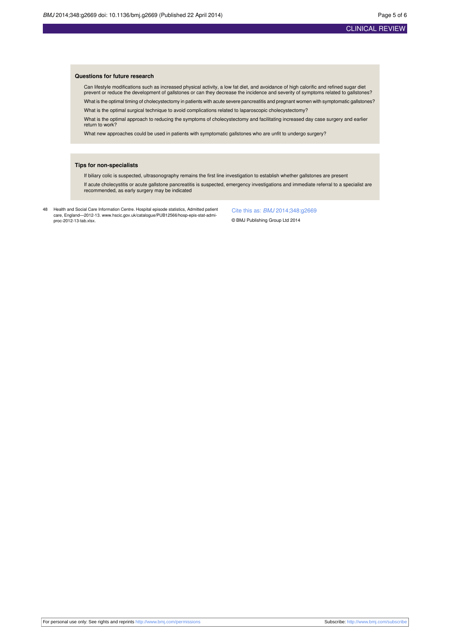### CLINICAL REVIEW

#### **Questions for future research**

Can lifestyle modifications such as increased physical activity, a low fat diet, and avoidance of high calorific and refined sugar diet prevent or reduce the development of gallstones or can they decrease the incidence and severity of symptoms related to gallstones? What is the optimal timing of cholecystectomy in patients with acute severe pancreatitis and pregnant women with symptomatic gallstones?

What is the optimal surgical technique to avoid complications related to laparoscopic cholecystectomy?

What is the optimal approach to reducing the symptoms of cholecystectomy and facilitating increased day case surgery and earlier return to work?

What new approaches could be used in patients with symptomatic gallstones who are unfit to undergo surgery?

#### **Tips for non-specialists**

If biliary colic is suspected, ultrasonography remains the first line investigation to establish whether gallstones are present

If acute cholecystitis or acute gallstone pancreatitis is suspected, emergency investigations and immediate referral to a specialist are recommended, as early surgery may be indicated

48 Health and Social Care Information Centre. Hospital episode statistics, Admitted patient care, England—2012-13. [www.hscic.gov.uk/catalogue/PUB12566/hosp-epis-stat-admi](http://www.hscic.gov.uk/catalogue/PUB12566/hosp-epis-stat-admi-proc-2012-13-tab.xlsx)[proc-2012-13-tab.xlsx](http://www.hscic.gov.uk/catalogue/PUB12566/hosp-epis-stat-admi-proc-2012-13-tab.xlsx).

Cite this as: BMJ 2014;348:g2669

© BMJ Publishing Group Ltd 2014